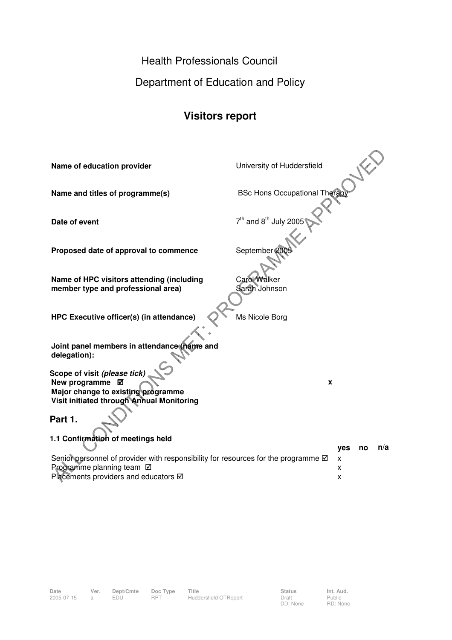Health Professionals Council

Department of Education and Policy

## **Visitors report**

| Name of education provider                                                                                                                                                                   | University of Huddersfield                    |  |
|----------------------------------------------------------------------------------------------------------------------------------------------------------------------------------------------|-----------------------------------------------|--|
| Name and titles of programme(s)                                                                                                                                                              | <b>BSc Hons Occupational Therap</b>           |  |
| Date of event                                                                                                                                                                                | 7 <sup>th</sup> and 8 <sup>th</sup> July 2005 |  |
| Proposed date of approval to commence                                                                                                                                                        | September 20                                  |  |
| Name of HPC visitors attending (including<br>member type and professional area)                                                                                                              | Carol Walker<br>Sarah Johnson                 |  |
| HPC Executive officer(s) (in attendance)                                                                                                                                                     | Ms Nicole Borg                                |  |
| Joint panel members in attendance (name and<br>delegation):                                                                                                                                  |                                               |  |
| Scope of visit (please tick)<br>New programme Ø<br>Major change to existing programme<br>Visit initiated through Annual Monitoring                                                           | X                                             |  |
| Part 1.                                                                                                                                                                                      |                                               |  |
| 1.1 Confirmation of meetings held<br>Senior personnel of provider with responsibility for resources for the programme Ø<br>Programme planning team Ø<br>Placements providers and educators Ø | n/a<br><b>yes</b><br>no<br>x<br>x<br>x        |  |

2005-07-15 a EDU RPT Huddersfield OTReport Draft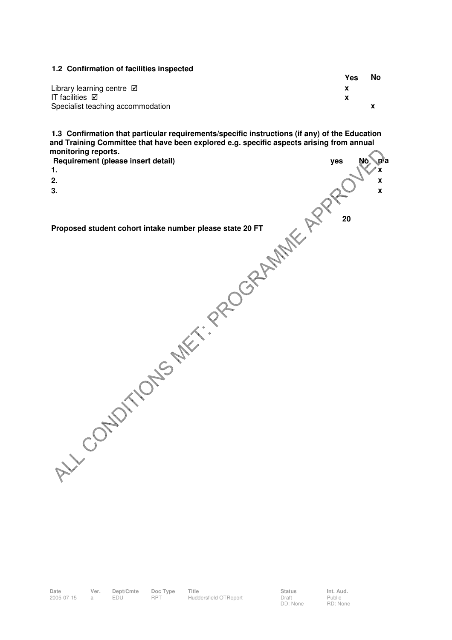#### **1.2 Confirmation of facilities inspected Yes No**  Library learning centre **x**  IT facilities **x**  Specialist teaching accommodation **x x**

**1.3 Confirmation that particular requirements/specific instructions (if any) of the Education and Training Committee that have been explored e.g. specific aspects arising from annual monitoring reports.**  L

| Requirement (please insert detail) | yes | No n/a             |
|------------------------------------|-----|--------------------|
| 1.                                 |     | x                  |
| 2.                                 |     | X                  |
|                                    |     | $\pmb{\mathsf{x}}$ |
|                                    |     |                    |
|                                    |     |                    |
|                                    |     |                    |
|                                    |     |                    |
|                                    |     |                    |
|                                    |     |                    |
|                                    |     |                    |
|                                    |     |                    |
|                                    |     |                    |
|                                    |     |                    |
|                                    |     |                    |
|                                    |     |                    |
|                                    |     |                    |
|                                    |     |                    |
|                                    |     |                    |
|                                    |     |                    |
|                                    |     |                    |
|                                    |     |                    |
|                                    |     |                    |
|                                    |     |                    |
|                                    |     |                    |
|                                    |     |                    |
|                                    |     |                    |
|                                    |     |                    |
|                                    |     |                    |
| LY CONDITIONS MET. PROGRAMME APPL  |     |                    |
|                                    |     |                    |

**Date Ver. Dept/Cmte Doc Type Title Status Int. Aud. Date Der. Dept/Cmte Doc Type Title Contained Batter Status**<br>2005-07-15 a EDU RPT Huddersfield OTReport Draft

Public RD: None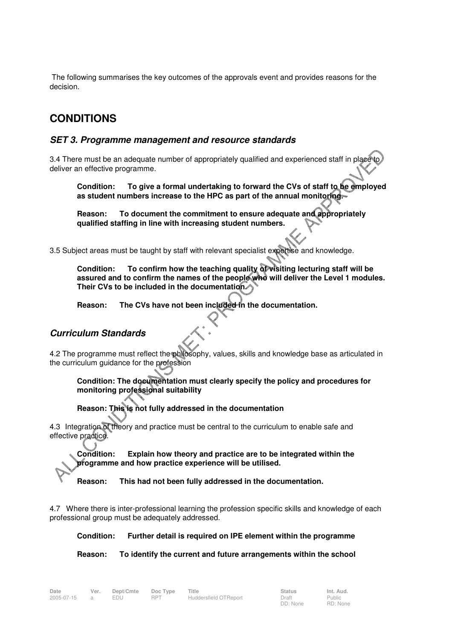The following summarises the key outcomes of the approvals event and provides reasons for the decision.

## **CONDITIONS**

### **SET 3. Programme management and resource standards**

3.4 There must be an adequate number of appropriately qualified and experienced staff in place deliver an effective programme.

**Condition: To give a formal undertaking to forward the CVs of staff to be employed as student numbers increase to the HPC as part of the annual monitoring.** 

**Reason: To document the commitment to ensure adequate and appropriately qualified staffing in line with increasing student numbers.** 

3.5 Subject areas must be taught by staff with relevant specialist expertise and knowledge.

**Condition: To confirm how the teaching quality of visiting lecturing staff will be assured and to confirm the names of the people who will deliver the Level 1 modules. Their CVs to be included in the documentation.** 

**Reason: The CVs have not been included in the documentation.** 

#### **Curriculum Standards**

4.2 The programme must reflect the philosophy, values, skills and knowledge base as articulated in the curriculum guidance for the profession

**Condition: The documentation must clearly specify the policy and procedures for monitoring professional suitability** 

**Reason: This is not fully addressed in the documentation** 

4.3 Integration of theory and practice must be central to the curriculum to enable safe and effective practice.

**Condition: Explain how theory and practice are to be integrated within the programme and how practice experience will be utilised.** 

**Reason: This had not been fully addressed in the documentation.** 

4.7 Where there is inter-professional learning the profession specific skills and knowledge of each professional group must be adequately addressed.

**Condition: Further detail is required on IPE element within the programme** 

**Reason: To identify the current and future arrangements within the school**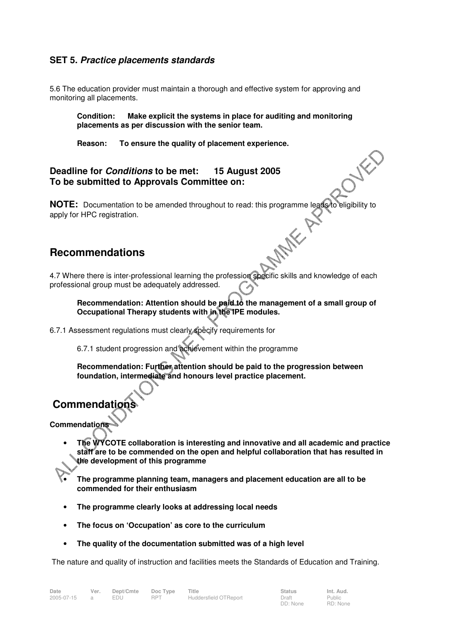#### **SET 5. Practice placements standards**

5.6 The education provider must maintain a thorough and effective system for approving and monitoring all placements.

**Condition: Make explicit the systems in place for auditing and monitoring placements as per discussion with the senior team.** 

**Reason: To ensure the quality of placement experience.** 

#### **Deadline for Conditions to be met: 15 August 2005 To be submitted to Approvals Committee on:**

**NOTE:** Documentation to be amended throughout to read: this programme leads to eligibility to apply for HPC registration.<br> **Recommendations** apply for HPC registration.

## **Recommendations**

4.7 Where there is inter-professional learning the profession specific skills and knowledge of each professional group must be adequately addressed.

**Recommendation: Attention should be paid to the management of a small group of Occupational Therapy students with in the IPE modules.** 

6.7.1 Assessment regulations must clearly specify requirements for

6.7.1 student progression and achievement within the programme

**Recommendation: Further attention should be paid to the progression between foundation, intermediate and honours level practice placement.** 

# **Commendations**

**Commendations** 

- **The WYCOTE collaboration is interesting and innovative and all academic and practice staff are to be commended on the open and helpful collaboration that has resulted in the development of this programme**
- **The programme planning team, managers and placement education are all to be commended for their enthusiasm**
- **The programme clearly looks at addressing local needs**
- **The focus on 'Occupation' as core to the curriculum**
- **The quality of the documentation submitted was of a high level**

The nature and quality of instruction and facilities meets the Standards of Education and Training.

| Date         | Ver. | Dept/Cmte | Doc Type   | Title                 | <b>Status</b> | Int. Aud. |
|--------------|------|-----------|------------|-----------------------|---------------|-----------|
| 2005-07-15 a |      | EDU       | <b>RPT</b> | Huddersfield OTReport | Draft         | Public    |